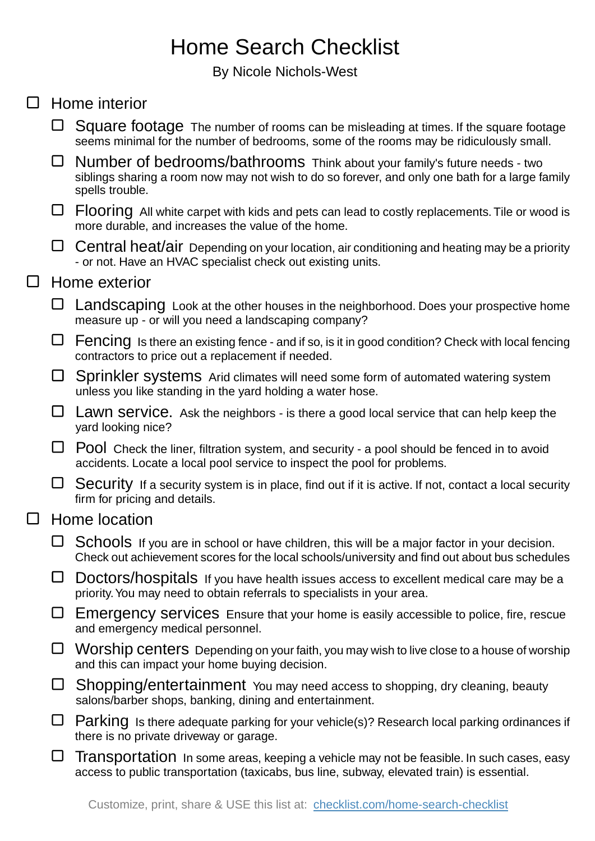## Home Search Checklist

By Nicole Nichols-West

| $\Box$ |               | Home interior                                                                                                                                                                                   |  |
|--------|---------------|-------------------------------------------------------------------------------------------------------------------------------------------------------------------------------------------------|--|
|        |               | Square footage The number of rooms can be misleading at times. If the square footage<br>seems minimal for the number of bedrooms, some of the rooms may be ridiculously small.                  |  |
|        | □             | Number of bedrooms/bathrooms Think about your family's future needs - two<br>siblings sharing a room now may not wish to do so forever, and only one bath for a large family<br>spells trouble. |  |
|        | ⊔             | Flooring All white carpet with kids and pets can lead to costly replacements. Tile or wood is<br>more durable, and increases the value of the home.                                             |  |
|        | □             | Central heat/air Depending on your location, air conditioning and heating may be a priority<br>- or not. Have an HVAC specialist check out existing units.                                      |  |
| $\Box$ | Home exterior |                                                                                                                                                                                                 |  |
|        | ⊔             | Landscaping Look at the other houses in the neighborhood. Does your prospective home<br>measure up - or will you need a landscaping company?                                                    |  |
|        | $\Box$        | Fencing Is there an existing fence - and if so, is it in good condition? Check with local fencing<br>contractors to price out a replacement if needed.                                          |  |
|        | ⊔             | Sprinkler systems Arid climates will need some form of automated watering system<br>unless you like standing in the yard holding a water hose.                                                  |  |
|        | ⊔             | Lawn Service. Ask the neighbors - is there a good local service that can help keep the<br>yard looking nice?                                                                                    |  |
|        | ⊔             | Pool Check the liner, filtration system, and security - a pool should be fenced in to avoid<br>accidents. Locate a local pool service to inspect the pool for problems.                         |  |
|        | ⊔             | Security If a security system is in place, find out if it is active. If not, contact a local security<br>firm for pricing and details.                                                          |  |
| $\Box$ | Home location |                                                                                                                                                                                                 |  |
|        |               | Schools If you are in school or have children, this will be a major factor in your decision.<br>Check out achievement scores for the local schools/university and find out about bus schedules  |  |
|        | ⊔             | Doctors/hospitals If you have health issues access to excellent medical care may be a<br>priority. You may need to obtain referrals to specialists in your area.                                |  |
|        |               | Emergency services Ensure that your home is easily accessible to police, fire, rescue<br>and emergency medical personnel.                                                                       |  |
|        | ⊔             | Worship centers Depending on your faith, you may wish to live close to a house of worship<br>and this can impact your home buying decision.                                                     |  |
|        | ⊔             | Shopping/entertainment You may need access to shopping, dry cleaning, beauty<br>salons/barber shops, banking, dining and entertainment.                                                         |  |
|        |               | Parking Is there adequate parking for your vehicle(s)? Research local parking ordinances if<br>there is no private driveway or garage.                                                          |  |
|        | $\mathbf{I}$  | Transportation In some areas, keeping a vehicle may not be feasible. In such cases, easy<br>access to public transportation (taxicabs, bus line, subway, elevated train) is essential.          |  |